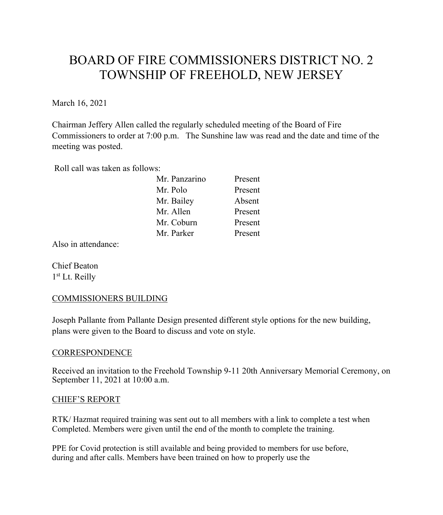# BOARD OF FIRE COMMISSIONERS DISTRICT NO. 2 TOWNSHIP OF FREEHOLD, NEW JERSEY

March 16, 2021

Chairman Jeffery Allen called the regularly scheduled meeting of the Board of Fire Commissioners to order at 7:00 p.m. The Sunshine law was read and the date and time of the meeting was posted.

Roll call was taken as follows:

| Present |
|---------|
| Present |
| Absent  |
| Present |
| Present |
| Present |
|         |

Also in attendance:

Chief Beaton 1st Lt. Reilly

# COMMISSIONERS BUILDING

Joseph Pallante from Pallante Design presented different style options for the new building, plans were given to the Board to discuss and vote on style.

## **CORRESPONDENCE**

Received an invitation to the Freehold Township 9-11 20th Anniversary Memorial Ceremony, on September 11, 2021 at 10:00 a.m.

## CHIEF'S REPORT

RTK/ Hazmat required training was sent out to all members with a link to complete a test when Completed. Members were given until the end of the month to complete the training.

PPE for Covid protection is still available and being provided to members for use before, during and after calls. Members have been trained on how to properly use the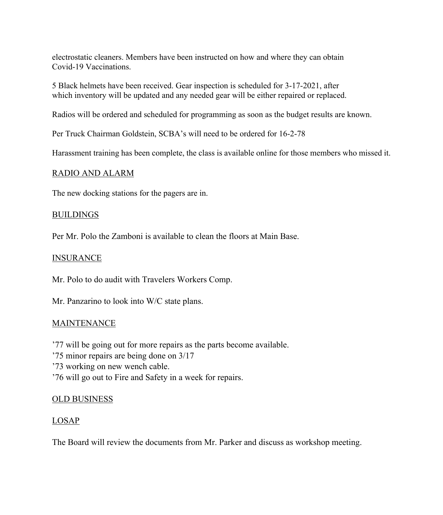electrostatic cleaners. Members have been instructed on how and where they can obtain Covid-19 Vaccinations.

5 Black helmets have been received. Gear inspection is scheduled for 3-17-2021, after which inventory will be updated and any needed gear will be either repaired or replaced.

Radios will be ordered and scheduled for programming as soon as the budget results are known.

Per Truck Chairman Goldstein, SCBA's will need to be ordered for 16-2-78

Harassment training has been complete, the class is available online for those members who missed it.

## RADIO AND ALARM

The new docking stations for the pagers are in.

## BUILDINGS

Per Mr. Polo the Zamboni is available to clean the floors at Main Base.

## INSURANCE

Mr. Polo to do audit with Travelers Workers Comp.

Mr. Panzarino to look into W/C state plans.

## **MAINTENANCE**

'77 will be going out for more repairs as the parts become available.

'75 minor repairs are being done on 3/17

- '73 working on new wench cable.
- '76 will go out to Fire and Safety in a week for repairs.

# OLD BUSINESS

# LOSAP

The Board will review the documents from Mr. Parker and discuss as workshop meeting.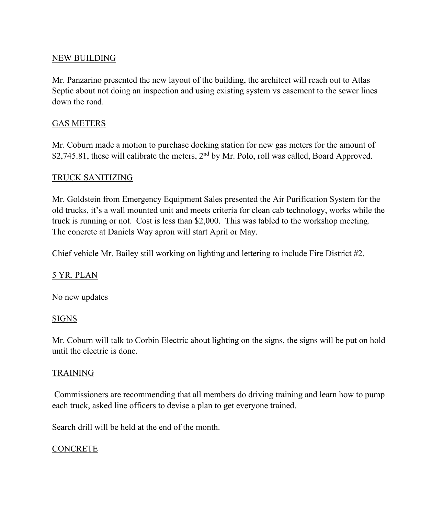# NEW BUILDING

Mr. Panzarino presented the new layout of the building, the architect will reach out to Atlas Septic about not doing an inspection and using existing system vs easement to the sewer lines down the road.

# GAS METERS

Mr. Coburn made a motion to purchase docking station for new gas meters for the amount of \$2,745.81, these will calibrate the meters, 2<sup>nd</sup> by Mr. Polo, roll was called, Board Approved.

# TRUCK SANITIZING

Mr. Goldstein from Emergency Equipment Sales presented the Air Purification System for the old trucks, it's a wall mounted unit and meets criteria for clean cab technology, works while the truck is running or not. Cost is less than \$2,000. This was tabled to the workshop meeting. The concrete at Daniels Way apron will start April or May.

Chief vehicle Mr. Bailey still working on lighting and lettering to include Fire District #2.

# 5 YR. PLAN

No new updates

# SIGNS

Mr. Coburn will talk to Corbin Electric about lighting on the signs, the signs will be put on hold until the electric is done.

# TRAINING

Commissioners are recommending that all members do driving training and learn how to pump each truck, asked line officers to devise a plan to get everyone trained.

Search drill will be held at the end of the month.

# **CONCRETE**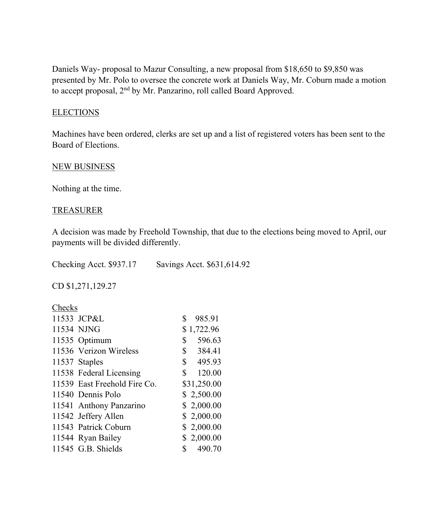Daniels Way- proposal to Mazur Consulting, a new proposal from \$18,650 to \$9,850 was presented by Mr. Polo to oversee the concrete work at Daniels Way, Mr. Coburn made a motion to accept proposal, 2nd by Mr. Panzarino, roll called Board Approved.

# **ELECTIONS**

Machines have been ordered, clerks are set up and a list of registered voters has been sent to the Board of Elections.

## NEW BUSINESS

Nothing at the time.

## TREASURER

A decision was made by Freehold Township, that due to the elections being moved to April, our payments will be divided differently.

Checking Acct. \$937.17 Savings Acct. \$631,614.92

CD \$1,271,129.27

## Checks

| 11533 JCP&L                  |              | 985.91      |
|------------------------------|--------------|-------------|
| 11534 NJNG                   |              | \$1,722.96  |
| 11535 Optimum                | \$           | 596.63      |
| 11536 Verizon Wireless       |              | \$384.41    |
| 11537 Staples                |              | \$495.93    |
| 11538 Federal Licensing      |              | \$120.00    |
| 11539 East Freehold Fire Co. |              | \$31,250.00 |
| 11540 Dennis Polo            |              | \$2,500.00  |
| 11541 Anthony Panzarino      |              | \$2,000.00  |
| 11542 Jeffery Allen          |              | \$2,000.00  |
| 11543 Patrick Coburn         |              | \$2,000.00  |
| 11544 Ryan Bailey            |              | \$2,000.00  |
| 11545 G.B. Shields           | $\mathbb{S}$ | 490.70      |
|                              |              |             |